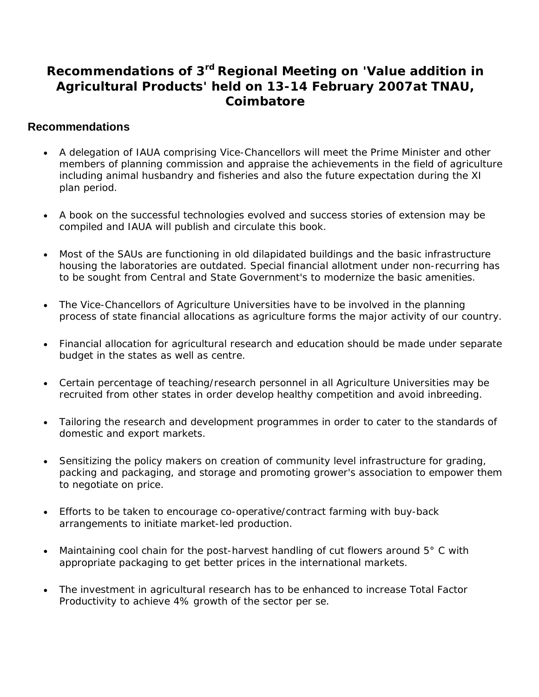## **Recommendations of 3rd Regional Meeting on 'Value addition in Agricultural Products' held on 13-14 February 2007at TNAU, Coimbatore**

## **Recommendations**

- A delegation of IAUA comprising Vice-Chancellors will meet the Prime Minister and other members of planning commission and appraise the achievements in the field of agriculture including animal husbandry and fisheries and also the future expectation during the XI plan period.
- A book on the successful technologies evolved and success stories of extension may be compiled and IAUA will publish and circulate this book.
- Most of the SAUs are functioning in old dilapidated buildings and the basic infrastructure housing the laboratories are outdated. Special financial allotment under non-recurring has to be sought from Central and State Government's to modernize the basic amenities.
- The Vice-Chancellors of Agriculture Universities have to be involved in the planning process of state financial allocations as agriculture forms the major activity of our country.
- Financial allocation for agricultural research and education should be made under separate budget in the states as well as centre.
- Certain percentage of teaching/research personnel in all Agriculture Universities may be recruited from other states in order develop healthy competition and avoid inbreeding.
- Tailoring the research and development programmes in order to cater to the standards of domestic and export markets.
- Sensitizing the policy makers on creation of community level infrastructure for grading, packing and packaging, and storage and promoting grower's association to empower them to negotiate on price.
- Efforts to be taken to encourage co-operative/contract farming with buy-back arrangements to initiate market-led production.
- Maintaining cool chain for the post-harvest handling of cut flowers around 5° C with appropriate packaging to get better prices in the international markets.
- The investment in agricultural research has to be enhanced to increase Total Factor Productivity to achieve 4% growth of the sector per se.